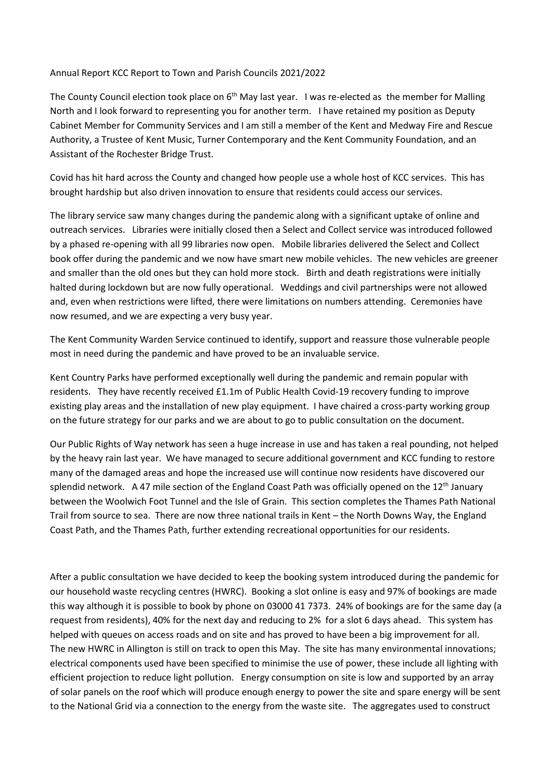## Annual Report KCC Report to Town and Parish Councils 2021/2022

The County Council election took place on 6<sup>th</sup> May last year. I was re-elected as the member for Malling North and I look forward to representing you for another term. I have retained my position as Deputy Cabinet Member for Community Services and I am still a member of the Kent and Medway Fire and Rescue Authority, a Trustee of Kent Music, Turner Contemporary and the Kent Community Foundation, and an Assistant of the Rochester Bridge Trust.

Covid has hit hard across the County and changed how people use a whole host of KCC services. This has brought hardship but also driven innovation to ensure that residents could access our services.

The library service saw many changes during the pandemic along with a significant uptake of online and outreach services. Libraries were initially closed then a Select and Collect service was introduced followed by a phased re-opening with all 99 libraries now open. Mobile libraries delivered the Select and Collect book offer during the pandemic and we now have smart new mobile vehicles. The new vehicles are greener and smaller than the old ones but they can hold more stock. Birth and death registrations were initially halted during lockdown but are now fully operational. Weddings and civil partnerships were not allowed and, even when restrictions were lifted, there were limitations on numbers attending. Ceremonies have now resumed, and we are expecting a very busy year.

The Kent Community Warden Service continued to identify, support and reassure those vulnerable people most in need during the pandemic and have proved to be an invaluable service.

Kent Country Parks have performed exceptionally well during the pandemic and remain popular with residents. They have recently received £1.1m of Public Health Covid-19 recovery funding to improve existing play areas and the installation of new play equipment. I have chaired a cross-party working group on the future strategy for our parks and we are about to go to public consultation on the document.

Our Public Rights of Way network has seen a huge increase in use and has taken a real pounding, not helped by the heavy rain last year. We have managed to secure additional government and KCC funding to restore many of the damaged areas and hope the increased use will continue now residents have discovered our splendid network. A 47 mile section of the England Coast Path was officially opened on the  $12<sup>th</sup>$  January between the Woolwich Foot Tunnel and the Isle of Grain. This section completes the Thames Path National Trail from source to sea. There are now three national trails in Kent – the North Downs Way, the England Coast Path, and the Thames Path, further extending recreational opportunities for our residents.

After a public consultation we have decided to keep the booking system introduced during the pandemic for our household waste recycling centres (HWRC). Booking a slot online is easy and 97% of bookings are made this way although it is possible to book by phone on 03000 41 7373. 24% of bookings are for the same day (a request from residents), 40% for the next day and reducing to 2% for a slot 6 days ahead. This system has helped with queues on access roads and on site and has proved to have been a big improvement for all. The new HWRC in Allington is still on track to open this May. The site has many environmental innovations; electrical components used have been specified to minimise the use of power, these include all lighting with efficient projection to reduce light pollution. Energy consumption on site is low and supported by an array of solar panels on the roof which will produce enough energy to power the site and spare energy will be sent to the National Grid via a connection to the energy from the waste site. The aggregates used to construct